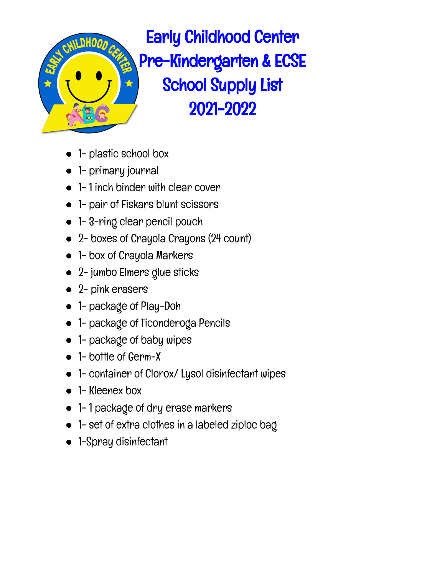

- 1- plastic school box
- 1- primary journal
- 1-1 inch binder with clear cover
- 1- pair of Fiskars blunt scissors
- 1-3-ring clear pencil pouch
- 2- boxes of Crayola Crayons (24 count)
- 1- box of Crayola Markers
- 2- jumbo Elmers glue sticks
- 2- pink erasers
- 1- package of Play-Doh
- 1- package of Ticonderoga Pencils
- 1- package of baby wipes
- 1- bottle of Germ-X
- 1- container of Clorox/ Lysol disinfectant wipes
- 1- Kleenex box
- 1- 1 package of dry erase markers
- 1- set of extra clothes in a labeled ziploc bag
- 1-Spray disinfectant